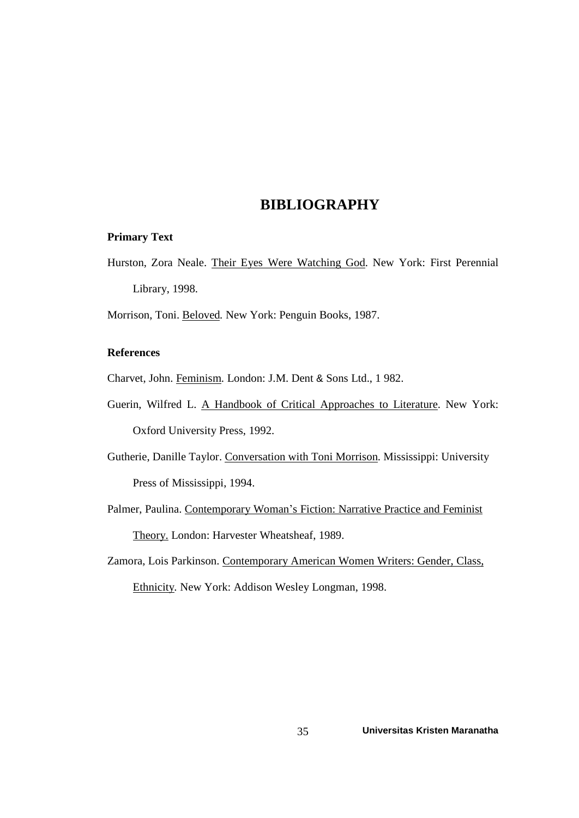# **BIBLIOGRAPHY**

#### **Primary Text**

Hurston, Zora Neale. Their Eyes Were Watching God. New York: First Perennial Library, 1998.

Morrison, Toni. Beloved*.* New York: Penguin Books, 1987.

### **References**

Charvet, John. Feminism*.* London: J.M. Dent & Sons Ltd., 1 982.

- Guerin, Wilfred L. A Handbook of Critical Approaches to Literature. New York: Oxford University Press, 1992.
- Gutherie, Danille Taylor. Conversation with Toni Morrison. Mississippi: University Press of Mississippi, 1994.

Palmer, Paulina. Contemporary Woman's Fiction: Narrative Practice and Feminist Theory. London: Harvester Wheatsheaf, 1989.

Zamora, Lois Parkinson. Contemporary American Women Writers: Gender, Class, Ethnicity*.* New York: Addison Wesley Longman, 1998.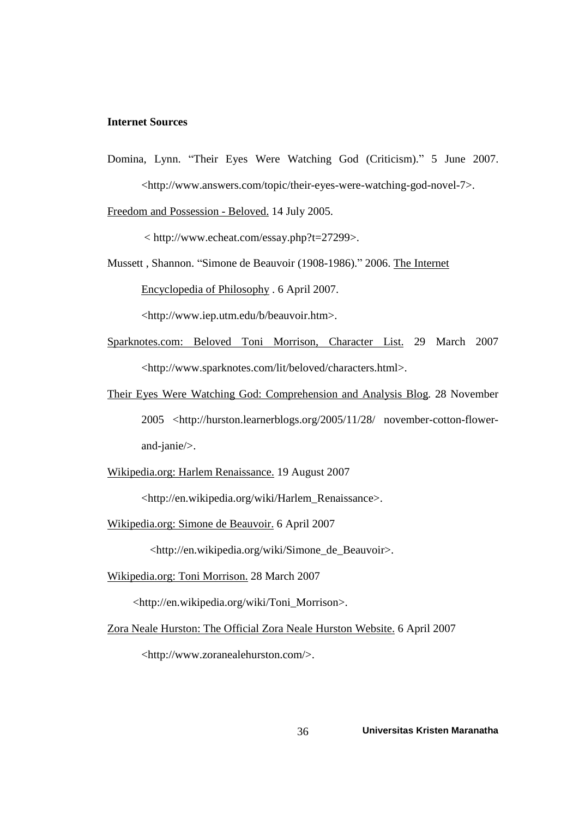### **Internet Sources**

Domina, Lynn. "Their Eyes Were Watching God (Criticism)." 5 June 2007. <http://www.answers.com/topic/their-eyes-were-watching-god-novel-7>.

Freedom and Possession - Beloved. 14 July 2005.

< <http://www.echeat.com/essay.php?t=27299>.>

Mussett, Shannon. "Simone de Beauvoir (1908-1986)." 2006. The Internet Encyclopedia of Philosophy . 6 April 2007.

<http://www.iep.utm.edu/b/beauvoir.htm>.

- Sparknotes.com: Beloved Toni Morrison, Character List. 29 March 2007 <http://www.sparknotes.com/lit/beloved/characters.html>.
- Their Eyes Were Watching God: Comprehension and Analysis Blog. 28 November 2005 <http://hurston.learnerblogs.org/2005/11/28/ november-cotton-flower and-janie/>.
- Wikipedia.org: Harlem Renaissance. 19 August 2007

<http://en.wikipedia.org/wiki/Harlem\_Renaissance>.

Wikipedia.org: Simone de Beauvoir. 6 April 2007

<http://en.wikipedia.org/wiki/Simone\_de\_Beauvoir>.

Wikipedia.org: Toni Morrison. 28 March 2007

<http://en.wikipedia.org/wiki/Toni\_Morrison>.

Zora Neale Hurston: The Official Zora Neale Hurston Website. 6 April 2007

<http://www.zoranealehurston.com/>.